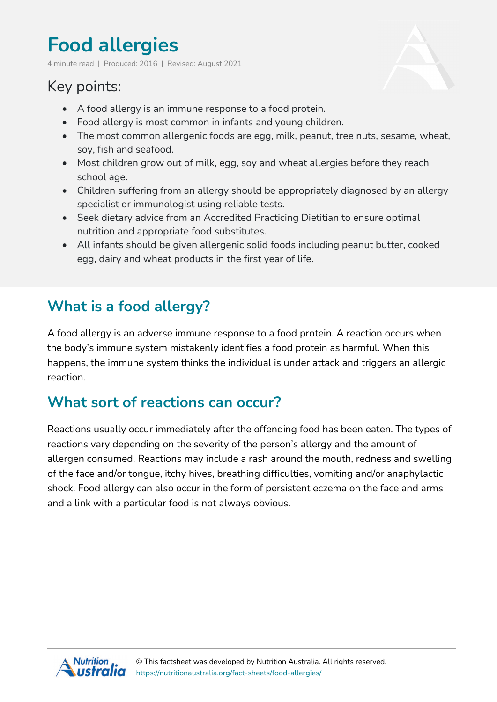# **Food allergies**

4 minute read | Produced: 2016 | Revised: August 2021

## Key points:

- A food allergy is an immune response to a food protein.
- Food allergy is most common in infants and young children.
- The most common allergenic foods are egg, milk, peanut, tree nuts, sesame, wheat, soy, fish and seafood.
- Most children grow out of milk, egg, soy and wheat allergies before they reach school age.
- Children suffering from an allergy should be appropriately diagnosed by an allergy specialist or immunologist using reliable tests.
- Seek dietary advice from an Accredited Practicing Dietitian to ensure optimal nutrition and appropriate food substitutes.
- All infants should be given allergenic solid foods including peanut butter, cooked egg, dairy and wheat products in the first year of life.

## **What is a food allergy?**

A food allergy is an adverse immune response to a food protein. A reaction occurs when the body's immune system mistakenly identifies a food protein as harmful. When this happens, the immune system thinks the individual is under attack and triggers an allergic reaction.

#### **What sort of reactions can occur?**

Reactions usually occur immediately after the offending food has been eaten. The types of reactions vary depending on the severity of the person's allergy and the amount of allergen consumed. Reactions may include a rash around the mouth, redness and swelling of the face and/or tongue, itchy hives, breathing difficulties, vomiting and/or anaphylactic shock. Food allergy can also occur in the form of persistent eczema on the face and arms and a link with a particular food is not always obvious.

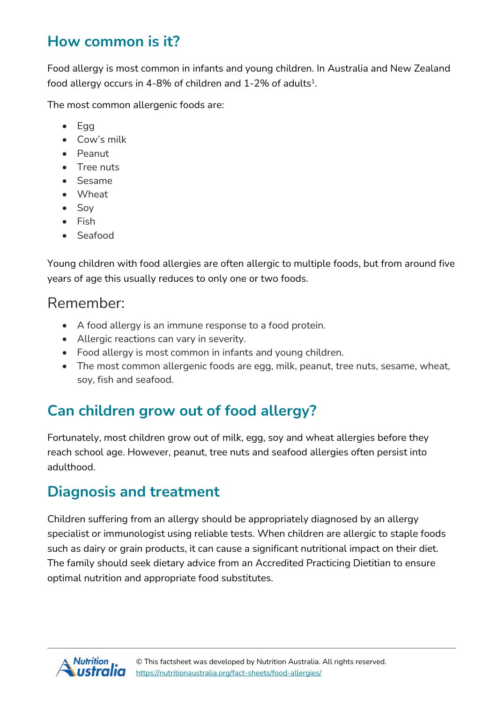#### **How common is it?**

Food allergy is most common in infants and young children. In Australia and New Zealand food allergy occurs in 4-8% of children and  $1-2\%$  of adults<sup>1</sup>.

The most common allergenic foods are:

- $\bullet$  Egg
- Cow's milk
- Peanut
- Tree nuts
- Sesame
- Wheat
- Soy
- Fish
- Seafood

Young children with food allergies are often allergic to multiple foods, but from around five years of age this usually reduces to only one or two foods.

#### Remember:

- A food allergy is an immune response to a food protein.
- Allergic reactions can vary in severity.
- Food allergy is most common in infants and young children.
- The most common allergenic foods are egg, milk, peanut, tree nuts, sesame, wheat, soy, fish and seafood.

# **Can children grow out of food allergy?**

Fortunately, most children grow out of milk, egg, soy and wheat allergies before they reach school age. However, peanut, tree nuts and seafood allergies often persist into adulthood.

#### **Diagnosis and treatment**

Children suffering from an allergy should be appropriately diagnosed by an allergy specialist or immunologist using reliable tests. When children are allergic to staple foods such as dairy or grain products, it can cause a significant nutritional impact on their diet. The family should seek dietary advice from an Accredited Practicing Dietitian to ensure optimal nutrition and appropriate food substitutes.